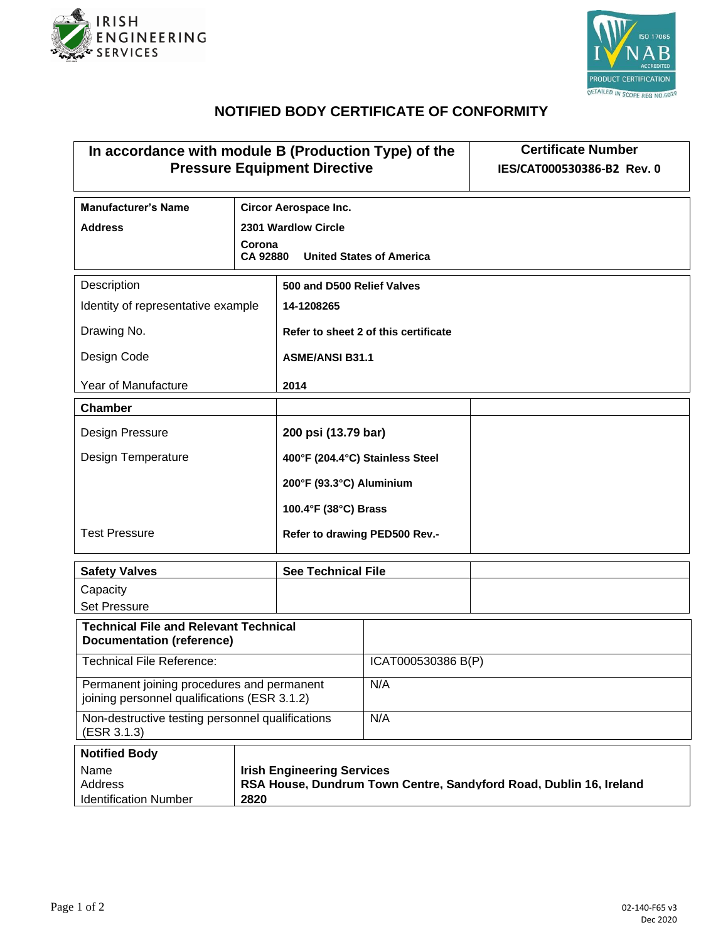

 $\mathbf{r}$ 



## **NOTIFIED BODY CERTIFICATE OF CONFORMITY**

| In accordance with module B (Production Type) of the<br><b>Pressure Equipment Directive</b> |                                                                                                                 |                                                       |  | <b>Certificate Number</b><br>IES/CAT000530386-B2 Rev. 0 |  |  |
|---------------------------------------------------------------------------------------------|-----------------------------------------------------------------------------------------------------------------|-------------------------------------------------------|--|---------------------------------------------------------|--|--|
| <b>Manufacturer's Name</b>                                                                  |                                                                                                                 | <b>Circor Aerospace Inc.</b>                          |  |                                                         |  |  |
| <b>Address</b>                                                                              |                                                                                                                 | 2301 Wardlow Circle                                   |  |                                                         |  |  |
|                                                                                             |                                                                                                                 | Corona<br>CA 92880<br><b>United States of America</b> |  |                                                         |  |  |
| Description                                                                                 |                                                                                                                 | 500 and D500 Relief Valves                            |  |                                                         |  |  |
| Identity of representative example                                                          |                                                                                                                 | 14-1208265                                            |  |                                                         |  |  |
| Drawing No.                                                                                 |                                                                                                                 | Refer to sheet 2 of this certificate                  |  |                                                         |  |  |
| Design Code                                                                                 |                                                                                                                 | <b>ASME/ANSI B31.1</b>                                |  |                                                         |  |  |
| Year of Manufacture                                                                         |                                                                                                                 | 2014                                                  |  |                                                         |  |  |
| <b>Chamber</b>                                                                              |                                                                                                                 |                                                       |  |                                                         |  |  |
| Design Pressure                                                                             |                                                                                                                 | 200 psi (13.79 bar)                                   |  |                                                         |  |  |
| Design Temperature                                                                          |                                                                                                                 | 400°F (204.4°C) Stainless Steel                       |  |                                                         |  |  |
|                                                                                             |                                                                                                                 | 200°F (93.3°C) Aluminium                              |  |                                                         |  |  |
|                                                                                             | 100.4°F (38°C) Brass                                                                                            |                                                       |  |                                                         |  |  |
| <b>Test Pressure</b>                                                                        |                                                                                                                 | Refer to drawing PED500 Rev.-                         |  |                                                         |  |  |
| <b>Safety Valves</b>                                                                        |                                                                                                                 | <b>See Technical File</b>                             |  |                                                         |  |  |
| Capacity<br><b>Set Pressure</b>                                                             |                                                                                                                 |                                                       |  |                                                         |  |  |
| <b>Technical File and Relevant Technical</b><br><b>Documentation (reference)</b>            |                                                                                                                 |                                                       |  |                                                         |  |  |
| <b>Technical File Reference:</b>                                                            |                                                                                                                 | ICAT000530386 B(P)                                    |  |                                                         |  |  |
| Permanent joining procedures and permanent<br>joining personnel qualifications (ESR 3.1.2)  |                                                                                                                 | N/A                                                   |  |                                                         |  |  |
| Non-destructive testing personnel qualifications<br>(ESR 3.1.3)                             |                                                                                                                 | N/A                                                   |  |                                                         |  |  |
| <b>Notified Body</b>                                                                        |                                                                                                                 |                                                       |  |                                                         |  |  |
| Name<br>Address<br><b>Identification Number</b>                                             | <b>Irish Engineering Services</b><br>RSA House, Dundrum Town Centre, Sandyford Road, Dublin 16, Ireland<br>2820 |                                                       |  |                                                         |  |  |